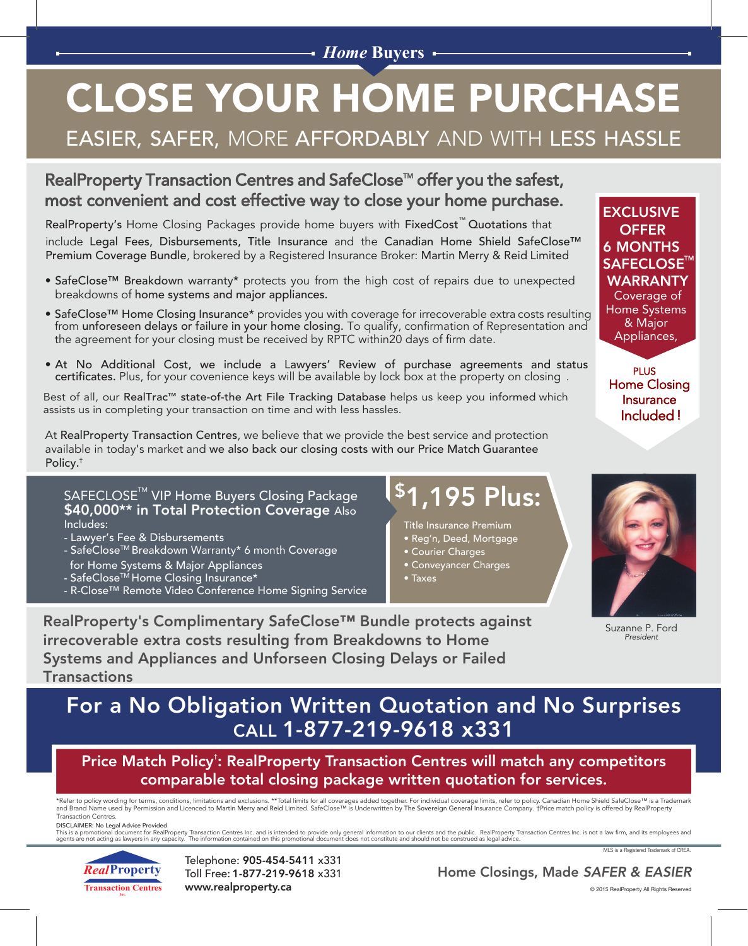### *Home* **Buyers**

# CLOSE YOUR HOME PURCHASE

### EASIER, SAFER, MORE AFFORDABLY AND WITH LESS HASSLE

### RealProperty Transaction Centres and SafeClose<sup>™</sup> offer you the safest, most convenient and cost effective way to close your home purchase.

RealProperty's Home Closing Packages provide home buyers with FixedCost™ Quotations that include Legal Fees, Disbursements, Title Insurance and the Canadian Home Shield SafeClose™ Premium Coverage Bundle, brokered by a Registered Insurance Broker: Martin Merry & Reid Limited

- SafeClose™ Breakdown warranty\* protects you from the high cost of repairs due to unexpected breakdowns of home systems and major appliances.
- SafeClose™ Home Closing Insurance\* provides you with coverage for irrecoverable extra costs resulting from unforeseen delays or failure in your home closing. To qualify, confirmation of Representation and the agreement for your closing must be received by RPTC within20 days of firm date.
- At No Additional Cost, we include a Lawyers' Review of purchase agreements and status certificates. Plus, for your covenience keys will be available by lock box at the property on closing .

Best of all, our RealTrac™ state-of-the Art File Tracking Database helps us keep you informed which assists us in completing your transaction on time and with less hassles.

At RealProperty Transaction Centres, we believe that we provide the best service and protection available in today's market and we also back our closing costs with our Price Match Guarantee Policy.†

### SAFECLOSE $^{\text{\tiny{\textsf{TM}}}}$  VIP Home Buyers Closing Package \$40,000\*\* in Total Protection Coverage Also Includes:

- Lawyer's Fee & Disbursements
- SafeClose™ Breakdown Warranty<sup>\*</sup> 6 month Coverage
- for Home Systems & Major Appliances
- SafeCloseTM Home Closing Insurance\*
- R-Close™ Remote Video Conference Home Signing Service

## \$1,195 Plus:

- Title Insurance Premium
- Reg'n, Deed, Mortgage
- Courier Charges
- Conveyancer Charges

• Taxes

**EXCLUSIVE** 6 MONTHS **OFFER**  $\mathsf{SAFECLOSE}^{\mathsf{II}}$ WARRANTY Coverage of Home Systems & Major Appliances,

PLUS Home Closing Insurance Included !



Suzanne P. Ford *President*

RealProperty's Complimentary SafeClose™ Bundle protects against irrecoverable extra costs resulting from Breakdowns to Home Systems and Appliances and Unforseen Closing Delays or Failed **Transactions** 

### For a No Obligation Written Quotation and No Surprises CALL 1-877-219-9618 x331

Price Match Policy† : RealProperty Transaction Centres will match any competitors comparable total closing package written quotation for services.

\*Refer to policy wording for terms, conditions, limitations and exclusions. \*\*Total limits for all coverages added together. For individual coverage limits, refer to policy. Canadian Home Shield SafeClose™ is a Trademark<br> Transaction Centres.

DISCLAIMER: No Legal Advice Provided<br>This is a promotional document for RealProperty Transaction Centres Inc. and is intended to provide only general information to our clients and the public. RealProperty Transaction Cent

*Real***Property Transaction Centres Inc.**

Telephone: 905-454-5411 x331 Toll Free: 1-877-219-9618 x331 www.realproperty.ca

Home Closings, Made *SAFER & EASIER*

MLS is a Registered Trademark of CREA.